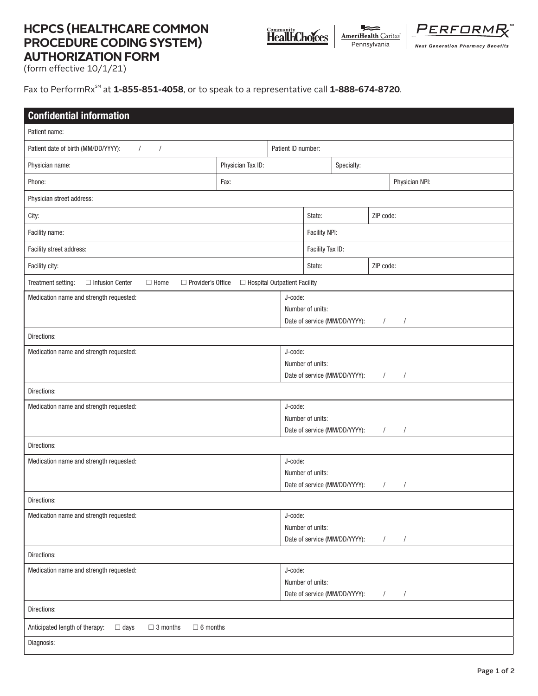## **HCPCS (HEALTHCARE COMMON PROCEDURE CODING SYSTEM) AUTHORIZATION FORM**



**AmeriHealth Caritas** Pennsylvania

PERFORM **Next Generation Pharmacy Benefits** 

(form effective 10/1/21)

Fax to PerformRx<sup>SM</sup> at **1-855-851-4058**, or to speak to a representative call **1-888-674-8720**.

| <b>Confidential information</b>                                                                                 |                   |         |                                                                                                        |                               |          |                |  |
|-----------------------------------------------------------------------------------------------------------------|-------------------|---------|--------------------------------------------------------------------------------------------------------|-------------------------------|----------|----------------|--|
| Patient name:                                                                                                   |                   |         |                                                                                                        |                               |          |                |  |
| Patient date of birth (MM/DD/YYYY):<br>$\sqrt{2}$<br>$\sqrt{2}$                                                 |                   |         | Patient ID number:                                                                                     |                               |          |                |  |
| Physician name:                                                                                                 | Physician Tax ID: |         |                                                                                                        | Specialty:                    |          |                |  |
| Phone:                                                                                                          | Fax:              |         |                                                                                                        |                               |          | Physician NPI: |  |
| Physician street address:                                                                                       |                   |         |                                                                                                        |                               |          |                |  |
| City:                                                                                                           |                   |         | ZIP code:<br>State:                                                                                    |                               |          |                |  |
| Facility name:                                                                                                  |                   |         |                                                                                                        | Facility NPI:                 |          |                |  |
| Facility street address:                                                                                        |                   |         |                                                                                                        | Facility Tax ID:              |          |                |  |
| Facility city:                                                                                                  |                   |         | ZIP code:<br>State:                                                                                    |                               |          |                |  |
| □ Infusion Center<br>Treatment setting:<br>□ Provider's Office<br>□ Hospital Outpatient Facility<br>$\Box$ Home |                   |         |                                                                                                        |                               |          |                |  |
| Medication name and strength requested:                                                                         |                   |         | J-code:<br>Number of units:<br>Date of service (MM/DD/YYYY):<br>$\sqrt{2}$<br>$\sqrt{2}$               |                               |          |                |  |
| Directions:                                                                                                     |                   |         |                                                                                                        |                               |          |                |  |
| Medication name and strength requested:                                                                         |                   |         | J-code:<br>Number of units:<br>Date of service (MM/DD/YYYY):<br>$\overline{\phantom{a}}$<br>$\sqrt{2}$ |                               |          |                |  |
| Directions:                                                                                                     |                   |         |                                                                                                        |                               |          |                |  |
| Medication name and strength requested:                                                                         |                   |         | J-code:<br>Number of units:<br>Date of service (MM/DD/YYYY):<br>$\sqrt{2}$<br>$\sqrt{2}$               |                               |          |                |  |
| Directions:                                                                                                     |                   |         |                                                                                                        |                               |          |                |  |
| Medication name and strength requested:                                                                         |                   |         | J-code:<br>Number of units:<br>Date of service (MM/DD/YYYY):<br>$\sqrt{2}$<br>$\overline{1}$           |                               |          |                |  |
| Directions:                                                                                                     |                   |         |                                                                                                        |                               |          |                |  |
| Medication name and strength requested:                                                                         |                   |         | J-code:<br>Number of units:<br>Date of service (MM/DD/YYYY):<br>$\sqrt{2}$<br>$\sqrt{2}$               |                               |          |                |  |
| Directions:                                                                                                     |                   |         |                                                                                                        |                               |          |                |  |
| Medication name and strength requested:                                                                         |                   | J-code: | Number of units:                                                                                       | Date of service (MM/DD/YYYY): | $\prime$ | $\prime$       |  |
| Directions:                                                                                                     |                   |         |                                                                                                        |                               |          |                |  |
| Anticipated length of therapy:<br>$\Box$ days<br>$\Box$ 3 months<br>$\Box$ 6 months                             |                   |         |                                                                                                        |                               |          |                |  |
| Diagnosis:                                                                                                      |                   |         |                                                                                                        |                               |          |                |  |